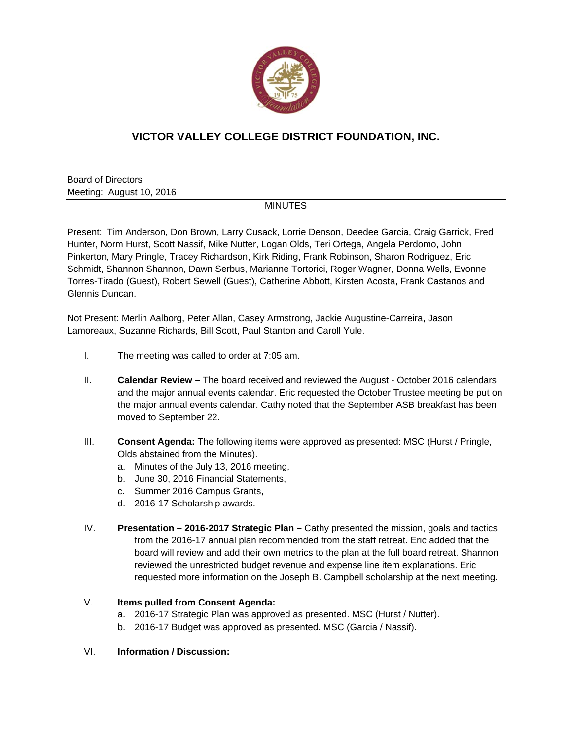

# **VICTOR VALLEY COLLEGE DISTRICT FOUNDATION, INC.**

Board of Directors Meeting: August 10, 2016

## MINUTES

Present: Tim Anderson, Don Brown, Larry Cusack, Lorrie Denson, Deedee Garcia, Craig Garrick, Fred Hunter, Norm Hurst, Scott Nassif, Mike Nutter, Logan Olds, Teri Ortega, Angela Perdomo, John Pinkerton, Mary Pringle, Tracey Richardson, Kirk Riding, Frank Robinson, Sharon Rodriguez, Eric Schmidt, Shannon Shannon, Dawn Serbus, Marianne Tortorici, Roger Wagner, Donna Wells, Evonne Torres-Tirado (Guest), Robert Sewell (Guest), Catherine Abbott, Kirsten Acosta, Frank Castanos and Glennis Duncan.

Not Present: Merlin Aalborg, Peter Allan, Casey Armstrong, Jackie Augustine-Carreira, Jason Lamoreaux, Suzanne Richards, Bill Scott, Paul Stanton and Caroll Yule.

- I. The meeting was called to order at 7:05 am.
- II. **Calendar Review** The board received and reviewed the August October 2016 calendars and the major annual events calendar. Eric requested the October Trustee meeting be put on the major annual events calendar. Cathy noted that the September ASB breakfast has been moved to September 22.
- III. **Consent Agenda:** The following items were approved as presented: MSC (Hurst / Pringle, Olds abstained from the Minutes).
	- a. Minutes of the July 13, 2016 meeting,
	- b. June 30, 2016 Financial Statements,
	- c. Summer 2016 Campus Grants,
	- d. 2016-17 Scholarship awards.
- IV. **Presentation 2016-2017 Strategic Plan** Cathy presented the mission, goals and tactics from the 2016-17 annual plan recommended from the staff retreat. Eric added that the board will review and add their own metrics to the plan at the full board retreat. Shannon reviewed the unrestricted budget revenue and expense line item explanations. Eric requested more information on the Joseph B. Campbell scholarship at the next meeting.

### V. **Items pulled from Consent Agenda:**

- a. 2016-17 Strategic Plan was approved as presented. MSC (Hurst / Nutter).
- b. 2016-17 Budget was approved as presented. MSC (Garcia / Nassif).

#### VI. **Information / Discussion:**